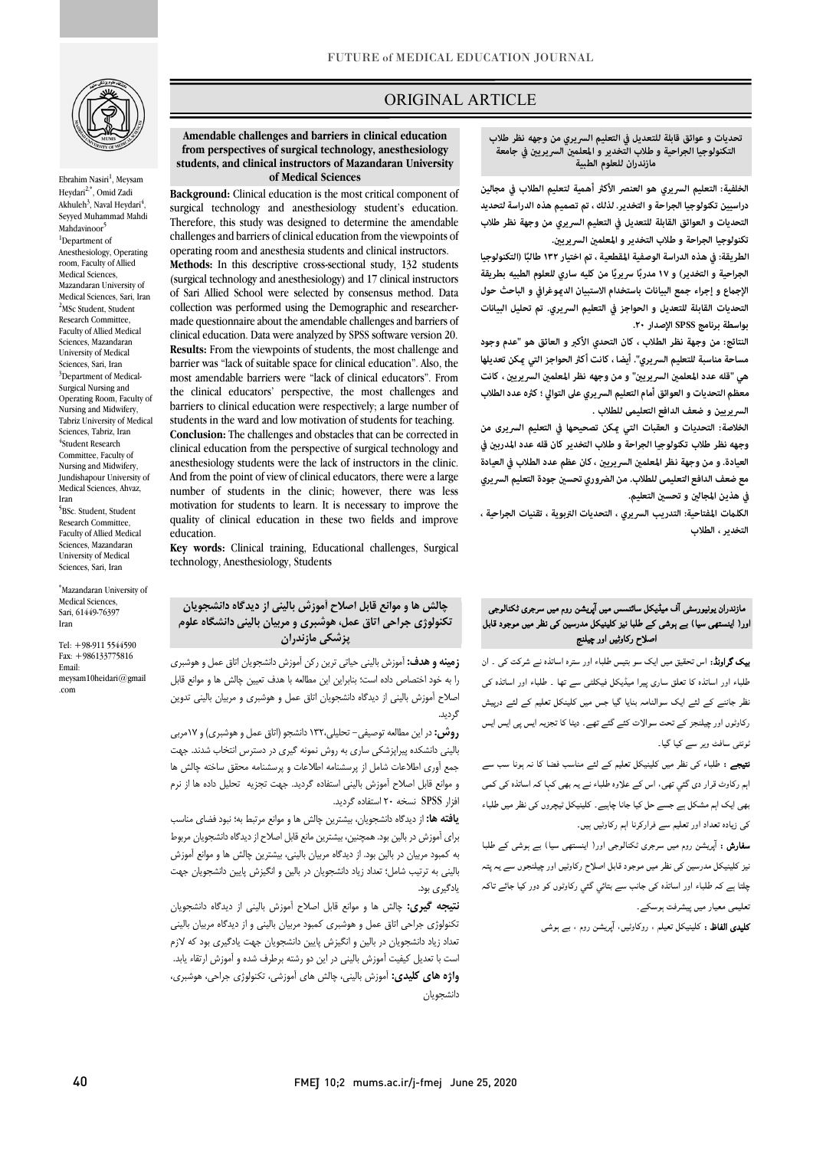

Ebrahim Nasiri<sup>1</sup>, Meysam Heydari<sup>2,\*</sup>, Omid Zadi Akhuleh<sup>3</sup>, Naval Heydari<sup>4</sup>, Seyyed Muhammad Mahdi Mahdavinoor<sup>5</sup> <sup>1</sup>Department of Anesthesiology, Operating room, Faculty of Allied Medical Sciences, Mazandaran University of Medical Sciences, Sari, Iran 2 MSc Student, Student Research Committee, Faculty of Allied Medical Sciences, Mazandaran University of Medical Sciences, Sari, Iran <sup>3</sup>Department of Medical-Surgical Nursing and Operating Room, Faculty of Nursing and Midwifery, Tabriz University of Medical Sciences, Tabriz, Iran 4 Student Research Committee, Faculty of Nursing and Midwifery, Jundishapour University of Medical Sciences, Ahvaz, Iran

5 BSc. Student, Student Research Committee, Faculty of Allied Medical Sciences, Mazandaran University of Medical Sciences, Sari, Iran

\* Mazandaran University of Medical Sciences, Sari, 61449-76397 Iran

Tel: +98-911 5544590 Fax: +986133775816 Email: meysam10heidari@gmail .com

### ORIGINAL ARTICLE

 **Amendable challenges and barriers in clinical education from perspectives of surgical technology, anesthesiology students, and clinical instructors of Mazandaran University of Medical Sciences**

i

 **Background:** Clinical education is the most critical component of surgical technology and anesthesiology student's education. Therefore, this study was designed to determine the amendable operating room and anesthesia students and clinical instructors. **Methods:** In this descriptive cross-sectional study, 132 students (surgical technology and anesthesiology) and 17 clinical instructors collection was performed using the Demographic and researcher- made questionnaire about the amendable challenges and barriers of **Results:** From the viewpoints of students, the most challenge and barrier was "lack of suitable space for clinical education". Also, the most amendable barriers were "lack of clinical educators". From barriers to clinical education were respectively; a large number of students in the ward and low motivation of students for teaching. **Conclusion:** The challenges and obstacles that can be corrected in anesthesiology students were the lack of instructors in the clinic. And from the point of view of clinical educators, there were a large mathed of students in the entire, however, there was ress<br>motivation for students to learn. It is necessary to improve the quality of clinical education in these two fields and improve challenges and barriers of clinical education from the viewpoints of of Sari Allied School were selected by consensus method. Data clinical education. Data were analyzed by SPSS software version 20. the clinical educators' perspective, the most challenges and clinical education from the perspective of surgical technology and number of students in the clinic; however, there was less education.

 **Key words:** Clinical training, Educational challenges, Surgical technology, Anesthesiology, Students

## **چالش ها و موانع قابل اصلاح آموزش بالینی از دیدگاه دانشجویان تکنولوژي جراحی اتاق عمل، هوشبري و مربیان بالینی دانشگاه علوم پزشکی مازندران**

 **زمینه و هدف:** آموزش بالینی حیاتی ترین رکن آموزش دانشجویان اتاق عمل و هوشبري را به خود اختصاص داده است؛ بنابراین این مطالعه با هدف تعیین چالش ها و موانع قابل اصلاح آموزش بالینی از دیدگاه دانشجویان اتاق عمل و هوشبري و مربیان بالینی تدوین گردید.

 **روش:** در این مطالعه توصیفی- تحلیلی132، دانشجو (اتاق عمل و هوشبري) و 17مربی بالینی دانشکده پیراپزشکی ساری به روش نمونه گیری در دسترس انتخاب شدند. جهت<br>-بیبع آوری اصادحات شمس از پرسستاند اصادحات و پرسستاند ماحلی شاخند به س سا<br>و موانع قابل اصلاح آموزش بالینی استفاده گردید. جهت تجزیه "تحلیل داده ها از نرم افزار SPSS نسخه 20 استفاده گردید. جمع آوري اطلاعات شامل از پرسشنامه اطلاعات و پرسشنامه محقق ساخته چالش ها

 **یافته ها:** از دیدگاه دانشجویان، بیشترین چالش ها و موانع مرتبط به؛ نبود فضاي مناسب براي آموزش در بالین بود. همچنین، بیشترین مانع قابل اصلاح از دیدگاه دانشجویان مربوط به کمبود مربیان در بالین بود. از دیدگاه مربیان بالینی، بیشترین چالش ها و موانع آموزش بالینی به ترتیب شامل؛ تعداد زیاد دانشجویان در بالین و انگیزش پایین دانشجویان جهت یادگیري بود.

 **نتیجه گیري:** چالش ها و موانع قابل اصلاح آموزش بالینی از دیدگاه دانشجویان - فوتوری برای دی کس و موسیری کنیرو میتوانیم به بیان و در این دانشجویان بایی<br>نعداد زیاد دانشجویان در بالین و انگیزش پایین دانشجویان جهت یادگیری بود که لازم است با تعدیل کیفیت آموزش بالینی در این دو رشته برطرف شده و آموزش ارتقاء یابد. **واژه هاي کلیدي:** آموزش بالینی، چالش هاي آموزشی، تکنولوژي جراحی، هوشبري، تکنولوژي جراحی اتاق عمل و هوشبري کمبود مربیان بالینی و از دیدگاه مربیان بالینی دانشجویان

.<br>' **تحديات و عوائق قابلة للتعديل في التعليم السريري من وجهه نظر طلاب مازندران للعلوم الطبية التكنولوجيا الجراحية <sup>و</sup> طلاب التخدير <sup>و</sup> المعلم السريري في جامعة**

ص

 **الخلفية: التعليم السريري هو العنصر الأك أهمية لتعلیم الطلاب في مجالین دراسیین تكنولوجيا الجراحة و التخدير. لذلك ، تم تصميم هذه الدراسة لتحديد التحديات و العوائق القابلة للتعديل في التعليم السريري من وجهة نظر طلاب**  تكنولوجيا الجراحة و طلا<mark>ب التخدير و المعلمين السريريين.</mark>

الطريقة: في هذه الدراسة الوصفية المقطعية ، تم اختيار ۱۳۲ طالبًا (التكنولوجيا<br>- **الإجع و إجراء جمع البيانات باستخدام الاستبيان الدوغرافي و الباحث حول التحديات القابلة للتعديل و الحواجز في التعليم السريري. تم تحليل البيانات بواسطة برنامج SPSS الإصدار .۲۰** الجراحية و التخدير) و ۱۷ مدربًا سريريًا من كليه ساري للعلوم الطبيه بطريقة

 **النتائج: من وجهة نظر الطلاب ، كان التحدي الأكبر و العائق هو "عدم وجود**  مساحة مناسبة للتعليم السريري". أيضا ، كانت أكثر الحواجز التي <u>م</u>كن تعديلها هي "قله عدد المعلمين السريريين" و من وجهه نظر المعلمين السريريين ، كانت<br>. **السریریین و ضعف الدافع التعلیمی للطلاب . معظم التحديات و العوائق أمام التعليم السريري على التوالي ؛ که عدد الطلاب** 

 **الخلاصة: التحديات و العقبات التي كن تصحيحها في التعليم السریری من وجهه نظر طلاب تكنولوجيا الجراحة و طلاب التخدير كان قله عدد المدرب في**  العيادة. و من وجهة نظر المعلمين السريريين ، كان عظم عدد الطلاب في العيادة **مع ضعف الدافع التعلیمی للطلاب. من الضروري تحس جودة التعليم السريري**  في هذين المجالين و تحسين التعليم.<br>.

 **الكلت المفتاحية: التدريب السريري ، التحديات التربوية ، تقنيات الجراحیة ، التخدير ، الطلاب**

# ۔<br>مازندران یونیورسٹی آف میڈیکل سائنسس میں آپریشن روم میں سرجری ٹکنالوجی ۔ حدددد کا محمد کا محمد ہوتا ہے کہ اس کا اس کا اس کا اس کا اس کا اس کا اس کا اس کا اس کا اس کا اس کا اس کا اس<br>اور( اینستھی سیا) ہے ہوشی کے طلبا نیز کلینیکل مدرسین کی نظر میں موجود قابل اصلاح ركاوثيں اور چيلنج

**یک گراونڈ:** اس تحقیق میں ایک سو بتیس طلباء اور سترہ اساتذہ نے شرکت کی ۔ ان ۔<br>طلباء اور اساتذہ کا تعلق ساری پیرا میڈیکل فیکلٹی سے تھا ۔ طلباء اور اساتذہ کی ۔<br>ظر جاننے کے لئے ایک سوالنامہ بنایا گیا جس میں کلینکل تعلیم کے لئے درپیش رکاوٹوں اور چیلنجز کے تحت سوالات کئے گئے تھے۔ دیٹا کا تجزیہ ایس پی ایس ایس .<br>نونٹی سافٹ ویر سے کیا گیا۔

۔<br>**نتیجے :** طلباء کی نظر میں کلینیکل تعلیم کے لئے مناسب فضا کا نہ ہونا سب سے \_<br>اہم رکاوٹ قرار دی گئی تھی، اس کے علاوہ طلباء نے یہ بھی کہا کہ اساتذہ کی کمی ا ا ۔ وں ء Ī .<br>. کی زیادہ تعداد اور تعلیم سے فرارکرنا اہم رکاوٹیں ہیں۔

<sub>نٹر</sub> کلینیکل مدرسین کی نظر میں موجود قابل اصلاح رکاوٹیں اور چیلنجوں سے یہ پتہ<br>۔ چلتا ہے کہ طلباء اور اساتذہ کی جانب سے بتائي گئي رکاوٹوں کو دور کیا جائے تاکہ<br>۔ نعلیمی معیار میں پیشرفت ہوسکے۔ **سفارش :** آپریشن روم میں سرجری ٹکنالوجی اور( اینستھی سیا) بے ہوشی کے طلبا

**کلیدی الفاظ :** کلینیکل تعیلم ، روکاوٹیں، آپریشن روم ، بے ہوشی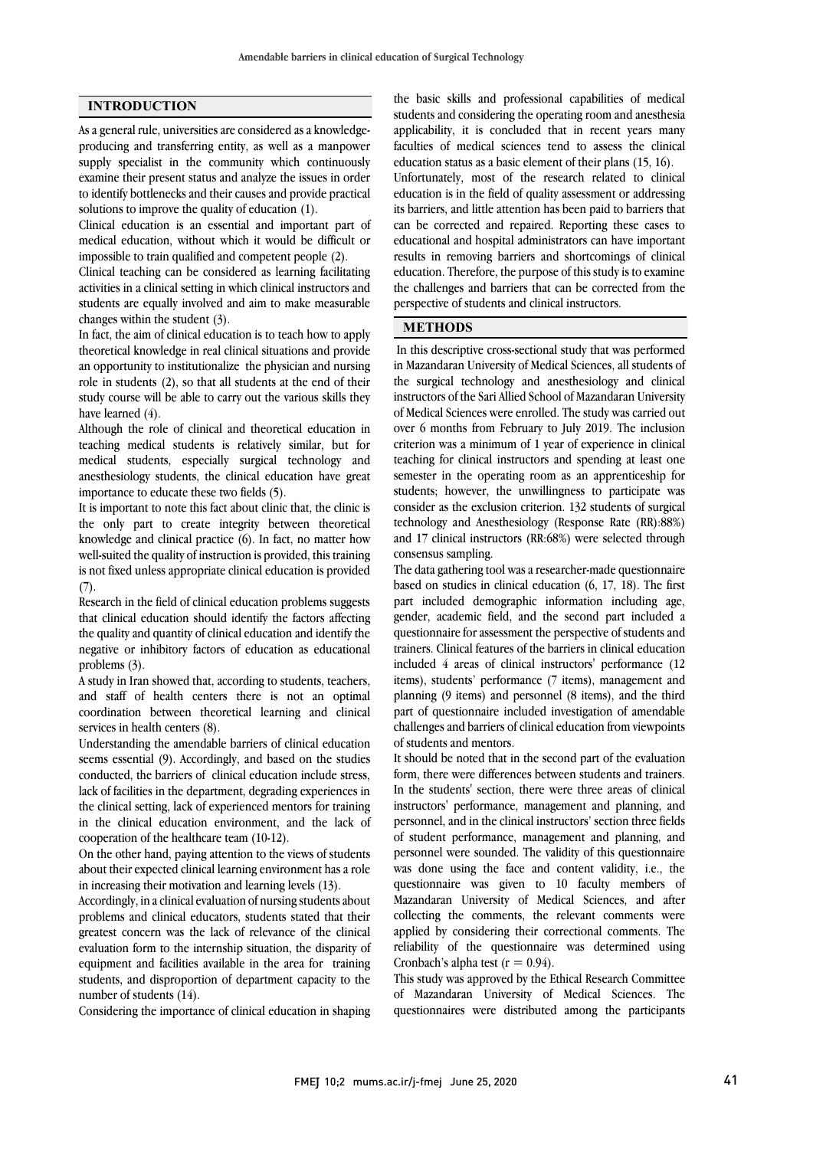### **INTRODUCTION**

As a general rule, universities are considered as a knowledgeproducing and transferring entity, as well as a manpower supply specialist in the community which continuously examine their present status and analyze the issues in order to identify bottlenecks and their causes and provide practical solutions to improve the quality of education (1).

Clinical education is an essential and important part of medical education, without which it would be difficult or impossible to train qualified and competent people (2).

Clinical teaching can be considered as learning facilitating activities in a clinical setting in which clinical instructors and students are equally involved and aim to make measurable changes within the student (3).

In fact, the aim of clinical education is to teach how to apply theoretical knowledge in real clinical situations and provide an opportunity to institutionalize the physician and nursing role in students (2), so that all students at the end of their study course will be able to carry out the various skills they have learned (4).

Although the role of clinical and theoretical education in teaching medical students is relatively similar, but for medical students, especially surgical technology and anesthesiology students, the clinical education have great importance to educate these two fields (5).

It is important to note this fact about clinic that, the clinic is the only part to create integrity between theoretical knowledge and clinical practice (6). In fact, no matter how well-suited the quality of instruction is provided, this training is not fixed unless appropriate clinical education is provided  $(7)$ .

Research in the field of clinical education problems suggests that clinical education should identify the factors affecting the quality and quantity of clinical education and identify the negative or inhibitory factors of education as educational problems (3).

A study in Iran showed that, according to students, teachers, and staff of health centers there is not an optimal coordination between theoretical learning and clinical services in health centers (8).

Understanding the amendable barriers of clinical education seems essential (9). Accordingly, and based on the studies conducted, the barriers of clinical education include stress, lack of facilities in the department, degrading experiences in the clinical setting, lack of experienced mentors for training in the clinical education environment, and the lack of cooperation of the healthcare team (10-12).

On the other hand, paying attention to the views of students about their expected clinical learning environment has a role in increasing their motivation and learning levels (13).

Accordingly, in a clinical evaluation of nursing students about problems and clinical educators, students stated that their greatest concern was the lack of relevance of the clinical evaluation form to the internship situation, the disparity of equipment and facilities available in the area for training students, and disproportion of department capacity to the number of students (14).

Considering the importance of clinical education in shaping

 students and considering the operating room and anesthesia applicability, it is concluded that in recent years many faculties of medical sciences tend to assess the clinical education status as a basic element of their plans (15, 16). education is in the field of quality assessment or addressing its barriers, and little attention has been paid to barriers that can be corrected and repaired. Reporting these cases to educational and hospital administrators can have important education. Therefore, the purpose of this study is to examine the challenges and barriers that can be corrected from the perspective of students and clinical instructors. the basic skills and professional capabilities of medical Unfortunately, most of the research related to clinical results in removing barriers and shortcomings of clinical

# **METHODS**

 In this descriptive cross-sectional study that was performed in Mazandaran University of Medical Sciences, all students of the surgical technology and anesthesiology and clinical instructors of the Sari Allied School of Mazandaran University over 6 months from February to July 2019. The inclusion criterion was a minimum of 1 year of experience in clinical teaching for clinical instructors and spending at least one semester in the operating room as an apprenticeship for consider as the exclusion criterion. 132 students of surgical technology and Anesthesiology (Response Rate (RR):88%) and 17 clinical instructors (RR:68%) were selected through consensus sampling. of Medical Sciences were enrolled. The study was carried out students; however, the unwillingness to participate was

 based on studies in clinical education (6, 17, 18). The first part included demographic information including age, gender, academic field, and the second part included a questionnaire for assessment the perspective of students and included 4 areas of clinical instructors' performance (12 items), students' performance (7 items), management and planning (9 items) and personnel (8 items), and the third part of questionnaire included investigation of amendable of students and mentors. The data gathering tool was a researcher-made questionnaire trainers. Clinical features of the barriers in clinical education challenges and barriers of clinical education from viewpoints

 It should be noted that in the second part of the evaluation form, there were differences between students and trainers. In the students' section, there were three areas of clinical personnel, and in the clinical instructors' section three fields of student performance, management and planning, and personnel were sounded. The validity of this questionnaire was done using the face and content validity, i.e., the Mazandaran University of Medical Sciences, and after collecting the comments, the relevant comments were applied by considering their correctional comments. The reliability of the questionnaire was determined using instructors' performance, management and planning, and questionnaire was given to 10 faculty members of Cronbach's alpha test ( $r = 0.94$ ).

 This study was approved by the Ethical Research Committee of Mazandaran University of Medical Sciences. The questionnaires were distributed among the participants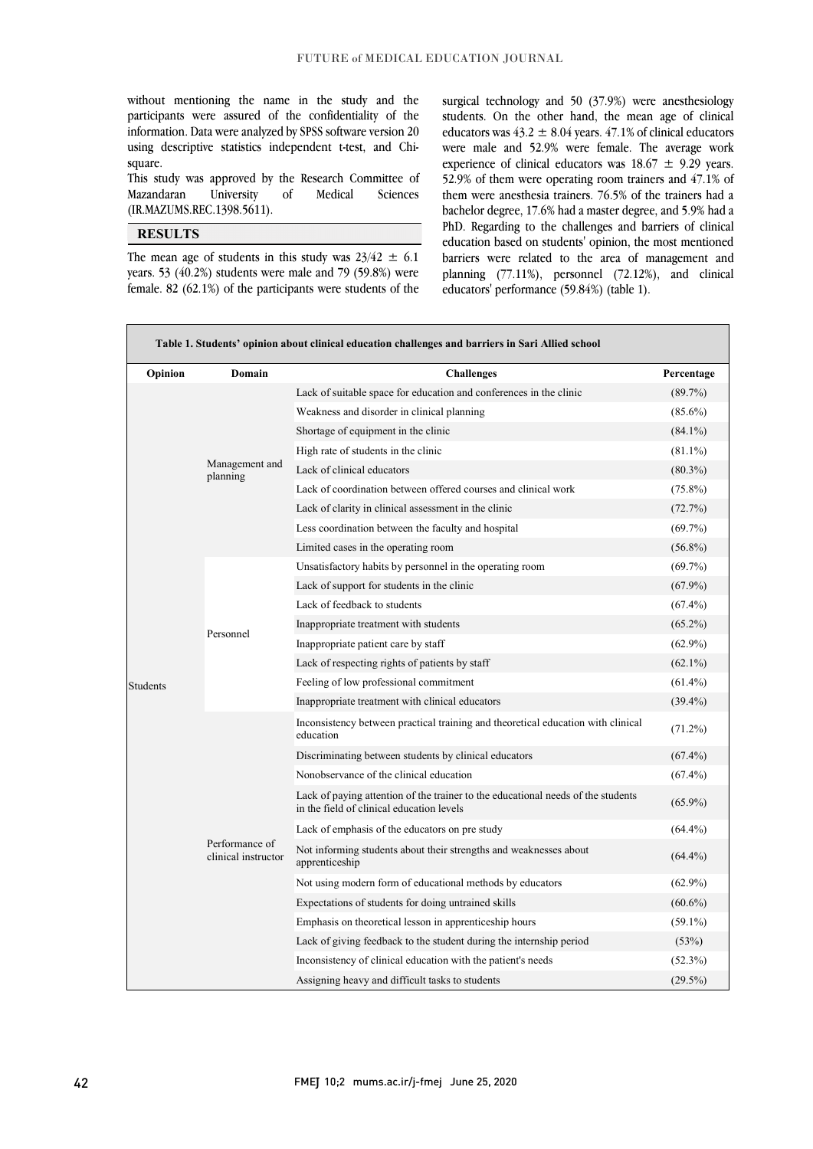whilout inchiloning the name in the study and the<br>participants were assured of the confidentiality of the information. Data were analyzed by SPSS software version 20 using descriptive statistics independent t-test, and Chiwithout mentioning the name in the study and the square.

 This study was approved by the Research Committee of Mazandaran University of Medical Sciences (IR.MAZUMS.REC.1398.5611).

> ֬֘֒  $\overline{a}$

> l

#### j **RESULTS**

The mean age of students in this study was  $23/42 \pm 6.1$ female. 82  $(62.1\%)$  of the participants were students of the years. 53 (40.2%) students were male and 79 (59.8%) were

 surgical technology and 50 (37.9%) were anesthesiology educators was  $43.2 \pm 8.04$  years.  $47.1\%$  of clinical educators were male and 52.9% were female. The average work experience of clinical educators was  $18.67 \pm 9.29$  years. 52.9% of them were operating room trainers and 47.1% of bachelor degree, 17.6% had a master degree, and 5.9% had a PhD. Regarding to the challenges and barriers of clinical education based on students' opinion, the most mentioned barriers were related to the area of management and planning  $(77.11\%)$ , personnel  $(72.12\%)$ , and clinical<br>educators performance  $(50.94\%)$  (table 1) students. On the other hand, the mean age of clinical them were anesthesia trainers. 76.5% of the trainers had a educators' performance (59.84%) (table 1).

 $\overline{a}$ 

| Table 1. Students' opinion about clinical education challenges and barriers in Sari Allied school |                                       |                                                                                                                               |            |  |  |
|---------------------------------------------------------------------------------------------------|---------------------------------------|-------------------------------------------------------------------------------------------------------------------------------|------------|--|--|
| Opinion                                                                                           | Domain                                | <b>Challenges</b>                                                                                                             | Percentage |  |  |
|                                                                                                   |                                       | Lack of suitable space for education and conferences in the clinic                                                            | $(89.7\%)$ |  |  |
|                                                                                                   |                                       | Weakness and disorder in clinical planning                                                                                    | $(85.6\%)$ |  |  |
|                                                                                                   | Management and<br>planning            | Shortage of equipment in the clinic                                                                                           | $(84.1\%)$ |  |  |
|                                                                                                   |                                       | High rate of students in the clinic                                                                                           | $(81.1\%)$ |  |  |
|                                                                                                   |                                       | Lack of clinical educators                                                                                                    | $(80.3\%)$ |  |  |
|                                                                                                   |                                       | Lack of coordination between offered courses and clinical work                                                                | $(75.8\%)$ |  |  |
|                                                                                                   |                                       | Lack of clarity in clinical assessment in the clinic                                                                          | (72.7%)    |  |  |
|                                                                                                   |                                       | Less coordination between the faculty and hospital                                                                            | (69.7%)    |  |  |
|                                                                                                   |                                       | Limited cases in the operating room                                                                                           | $(56.8\%)$ |  |  |
|                                                                                                   |                                       | Unsatisfactory habits by personnel in the operating room                                                                      | (69.7%)    |  |  |
|                                                                                                   |                                       | Lack of support for students in the clinic                                                                                    | $(67.9\%)$ |  |  |
|                                                                                                   |                                       | Lack of feedback to students                                                                                                  | $(67.4\%)$ |  |  |
|                                                                                                   | Personnel                             | Inappropriate treatment with students                                                                                         | $(65.2\%)$ |  |  |
|                                                                                                   |                                       | Inappropriate patient care by staff                                                                                           | $(62.9\%)$ |  |  |
|                                                                                                   |                                       | Lack of respecting rights of patients by staff                                                                                | $(62.1\%)$ |  |  |
| <b>Students</b>                                                                                   |                                       | Feeling of low professional commitment                                                                                        | $(61.4\%)$ |  |  |
|                                                                                                   |                                       | Inappropriate treatment with clinical educators                                                                               | $(39.4\%)$ |  |  |
|                                                                                                   | Performance of<br>clinical instructor | Inconsistency between practical training and theoretical education with clinical<br>education                                 | $(71.2\%)$ |  |  |
|                                                                                                   |                                       | Discriminating between students by clinical educators                                                                         | $(67.4\%)$ |  |  |
|                                                                                                   |                                       | Nonobservance of the clinical education                                                                                       | $(67.4\%)$ |  |  |
|                                                                                                   |                                       | Lack of paying attention of the trainer to the educational needs of the students<br>in the field of clinical education levels | $(65.9\%)$ |  |  |
|                                                                                                   |                                       | Lack of emphasis of the educators on pre study                                                                                | $(64.4\%)$ |  |  |
|                                                                                                   |                                       | Not informing students about their strengths and weaknesses about<br>apprenticeship                                           | $(64.4\%)$ |  |  |
|                                                                                                   |                                       | Not using modern form of educational methods by educators                                                                     | $(62.9\%)$ |  |  |
|                                                                                                   |                                       | Expectations of students for doing untrained skills                                                                           | $(60.6\%)$ |  |  |
|                                                                                                   |                                       | Emphasis on theoretical lesson in apprenticeship hours                                                                        | $(59.1\%)$ |  |  |
|                                                                                                   |                                       | Lack of giving feedback to the student during the internship period                                                           | (53%)      |  |  |
|                                                                                                   |                                       | Inconsistency of clinical education with the patient's needs                                                                  | $(52.3\%)$ |  |  |
|                                                                                                   |                                       | Assigning heavy and difficult tasks to students                                                                               | $(29.5\%)$ |  |  |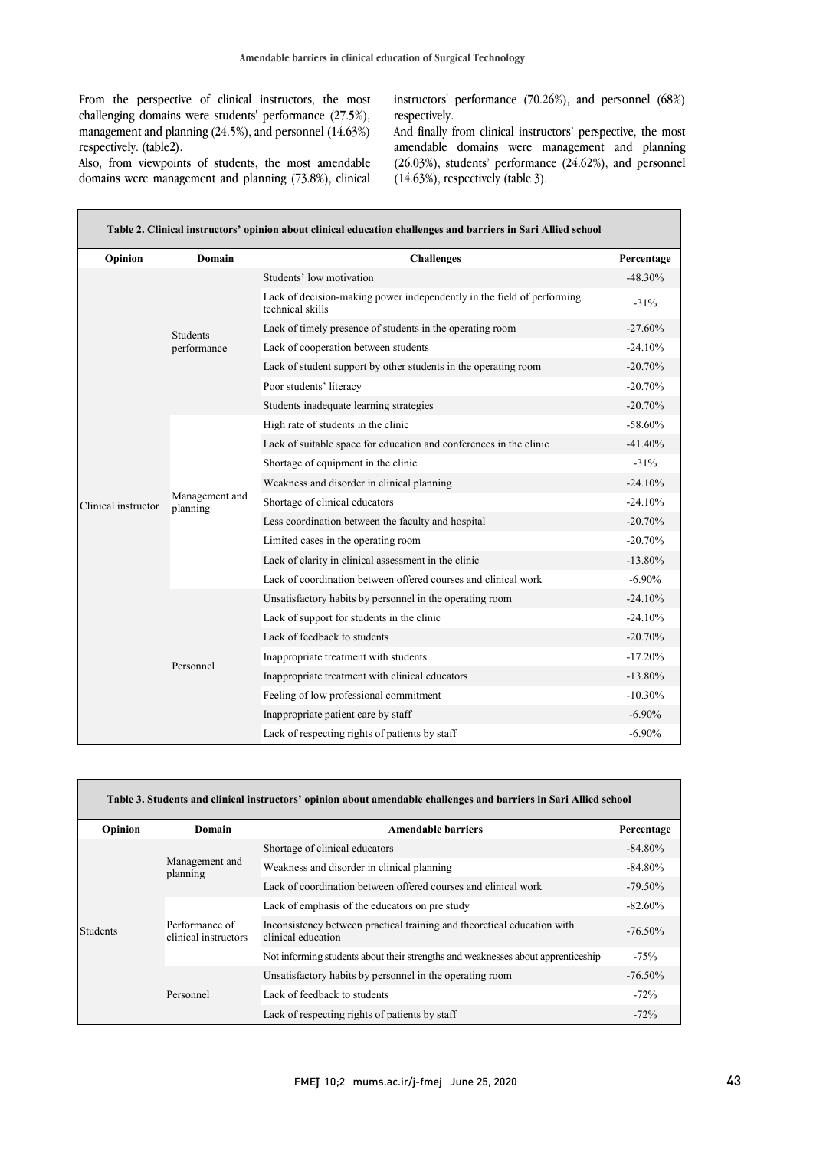$\overline{a}$ 

From the perspective of clinical instructors, the most challenging domains were students' performance (27.5%), management and planning (24.5%), and personnel (14.63%) respectively. (table2).

 instructors' performance (70.26%), and personnel (68%) respectively.

Also, from viewpoints of students, the most amendable domains were management and planning (73.8%), clinical

Г

 And finally from clinical instructors' perspective, the most amendable domains were management and planning (26.03%), students' performance (24.62%), and personnel (14.63%), respectively (table 3).

| Opinion             | Domain                         | <b>Challenges</b>                                                                          | Percentage |
|---------------------|--------------------------------|--------------------------------------------------------------------------------------------|------------|
|                     | <b>Students</b><br>performance | Students' low motivation                                                                   | $-48.30\%$ |
|                     |                                | Lack of decision-making power independently in the field of performing<br>technical skills | $-31%$     |
|                     |                                | Lack of timely presence of students in the operating room                                  | $-27.60%$  |
|                     |                                | Lack of cooperation between students                                                       | $-24.10%$  |
|                     |                                | Lack of student support by other students in the operating room                            | $-20.70%$  |
|                     |                                | Poor students' literacy                                                                    | $-20.70\%$ |
|                     |                                | Students inadequate learning strategies                                                    | $-20.70%$  |
|                     |                                | High rate of students in the clinic                                                        | $-58.60\%$ |
|                     |                                | Lack of suitable space for education and conferences in the clinic                         | $-41.40%$  |
|                     |                                | Shortage of equipment in the clinic                                                        | $-31%$     |
|                     |                                | Weakness and disorder in clinical planning                                                 | $-24.10%$  |
| Clinical instructor | Management and<br>planning     | Shortage of clinical educators                                                             | $-24.10%$  |
|                     |                                | Less coordination between the faculty and hospital                                         | $-20.70%$  |
|                     |                                | Limited cases in the operating room                                                        | $-20.70%$  |
|                     |                                | Lack of clarity in clinical assessment in the clinic                                       | $-13.80\%$ |
|                     |                                | Lack of coordination between offered courses and clinical work                             | $-6.90\%$  |
|                     |                                | Unsatisfactory habits by personnel in the operating room                                   | $-24.10%$  |
|                     |                                | Lack of support for students in the clinic                                                 | $-24.10%$  |
|                     |                                | Lack of feedback to students                                                               | $-20.70%$  |
|                     | Personnel                      | Inappropriate treatment with students                                                      | $-17.20%$  |
|                     |                                | Inappropriate treatment with clinical educators                                            | $-13.80\%$ |
|                     |                                | Feeling of low professional commitment                                                     | $-10.30%$  |
|                     |                                | Inappropriate patient care by staff                                                        | $-6.90%$   |
|                     |                                | Lack of respecting rights of patients by staff                                             | $-6.90%$   |

| Table 3. Students and clinical instructors' opinion about amendable challenges and barriers in Sari Allied school |                                        |                                                                                               |            |  |  |
|-------------------------------------------------------------------------------------------------------------------|----------------------------------------|-----------------------------------------------------------------------------------------------|------------|--|--|
| Opinion                                                                                                           | Domain                                 | Amendable barriers                                                                            | Percentage |  |  |
|                                                                                                                   | Management and<br>planning             | Shortage of clinical educators                                                                | $-84.80\%$ |  |  |
|                                                                                                                   |                                        | Weakness and disorder in clinical planning                                                    | $-84.80\%$ |  |  |
|                                                                                                                   |                                        | Lack of coordination between offered courses and clinical work                                | $-79.50\%$ |  |  |
|                                                                                                                   | Performance of<br>clinical instructors | Lack of emphasis of the educators on pre study                                                | $-82.60\%$ |  |  |
| <b>Students</b>                                                                                                   |                                        | Inconsistency between practical training and theoretical education with<br>clinical education | $-76.50\%$ |  |  |
|                                                                                                                   |                                        | Not informing students about their strengths and weaknesses about apprenticeship              | $-75%$     |  |  |
|                                                                                                                   | Personnel                              | Unsatisfactory habits by personnel in the operating room                                      | $-76.50\%$ |  |  |
|                                                                                                                   |                                        | Lack of feedback to students                                                                  | $-72%$     |  |  |
|                                                                                                                   |                                        | Lack of respecting rights of patients by staff                                                | $-72%$     |  |  |

 $\overline{a}$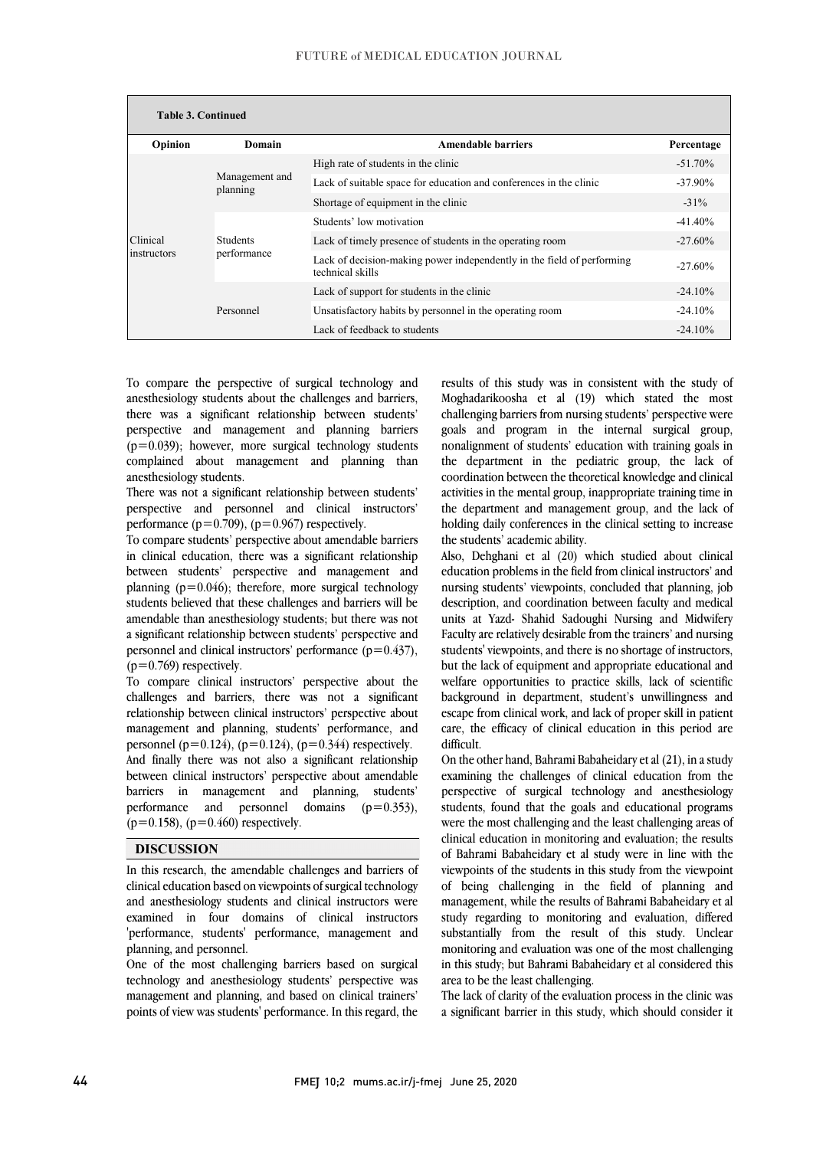| <b>Table 3. Continued</b> |                                |                                                                                            |            |  |  |
|---------------------------|--------------------------------|--------------------------------------------------------------------------------------------|------------|--|--|
| Opinion                   | Domain                         | <b>Amendable barriers</b>                                                                  | Percentage |  |  |
|                           | Management and<br>planning     | High rate of students in the clinic                                                        | $-51.70\%$ |  |  |
|                           |                                | Lack of suitable space for education and conferences in the clinic                         | $-37.90\%$ |  |  |
|                           |                                | Shortage of equipment in the clinic                                                        | $-31\%$    |  |  |
|                           | <b>Students</b><br>performance | Students' low motivation                                                                   | $-41.40\%$ |  |  |
| Clinical                  |                                | Lack of timely presence of students in the operating room                                  | $-27.60\%$ |  |  |
| instructors               |                                | Lack of decision-making power independently in the field of performing<br>technical skills | $-27.60\%$ |  |  |
|                           | Personnel                      | Lack of support for students in the clinic                                                 | $-24.10\%$ |  |  |
|                           |                                | Unsatisfactory habits by personnel in the operating room                                   | $-24.10%$  |  |  |
|                           |                                | Lack of feedback to students                                                               | $-24.10%$  |  |  |

To compare the perspective of surgical technology and anesthesiology students about the challenges and barriers, there was a significant relationship between students' perspective and management and planning barriers  $(p=0.039)$ ; however, more surgical technology students complained about management and planning than anesthesiology students.

There was not a significant relationship between students' perspective and personnel and clinical instructors' performance ( $p=0.709$ ), ( $p=0.967$ ) respectively.

To compare students' perspective about amendable barriers in clinical education, there was a significant relationship between students' perspective and management and planning ( $p=0.046$ ); therefore, more surgical technology students believed that these challenges and barriers will be amendable than anesthesiology students; but there was not a significant relationship between students' perspective and personnel and clinical instructors' performance  $(p=0.437)$ ,  $(p=0.769)$  respectively.

To compare clinical instructors' perspective about the challenges and barriers, there was not a significant relationship between clinical instructors' perspective about management and planning, students' performance, and personnel (p=0.124), (p=0.124), (p=0.344) respectively. And finally there was not also a significant relationship between clinical instructors' perspective about amendable barriers in management and planning, students' performance and personnel domains  $(p=0.353)$ ,  $(p=0.158)$ ,  $(p=0.460)$  respectively.

### **DISCUSSION**

In this research, the amendable challenges and barriers of clinical education based on viewpoints of surgical technology and anesthesiology students and clinical instructors were examined in four domains of clinical instructors 'performance, students' performance, management and planning, and personnel.

One of the most challenging barriers based on surgical technology and anesthesiology students' perspective was management and planning, and based on clinical trainers' points of view was students' performance. In this regard, the results of this study was in consistent with the study of Moghadarikoosha et al (19) which stated the most challenging barriers from nursing students' perspective were goals and program in the internal surgical group, nonalignment of students' education with training goals in the department in the pediatric group, the lack of coordination between the theoretical knowledge and clinical activities in the mental group, inappropriate training time in the department and management group, and the lack of holding daily conferences in the clinical setting to increase the students' academic ability.

Also, Dehghani et al (20) which studied about clinical education problems in the field from clinical instructors' and nursing students' viewpoints, concluded that planning, job description, and coordination between faculty and medical units at Yazd- Shahid Sadoughi Nursing and Midwifery Faculty are relatively desirable from the trainers' and nursing students' viewpoints, and there is no shortage of instructors, but the lack of equipment and appropriate educational and welfare opportunities to practice skills, lack of scientific background in department, student's unwillingness and escape from clinical work, and lack of proper skill in patient care, the efficacy of clinical education in this period are difficult.

On the other hand, Bahrami Babaheidary et al (21), in a study examining the challenges of clinical education from the perspective of surgical technology and anesthesiology students, found that the goals and educational programs were the most challenging and the least challenging areas of clinical education in monitoring and evaluation; the results of Bahrami Babaheidary et al study were in line with the viewpoints of the students in this study from the viewpoint of being challenging in the field of planning and management, while the results of Bahrami Babaheidary et al study regarding to monitoring and evaluation, differed substantially from the result of this study. Unclear monitoring and evaluation was one of the most challenging in this study; but Bahrami Babaheidary et al considered this area to be the least challenging.

The lack of clarity of the evaluation process in the clinic was a significant barrier in this study, which should consider it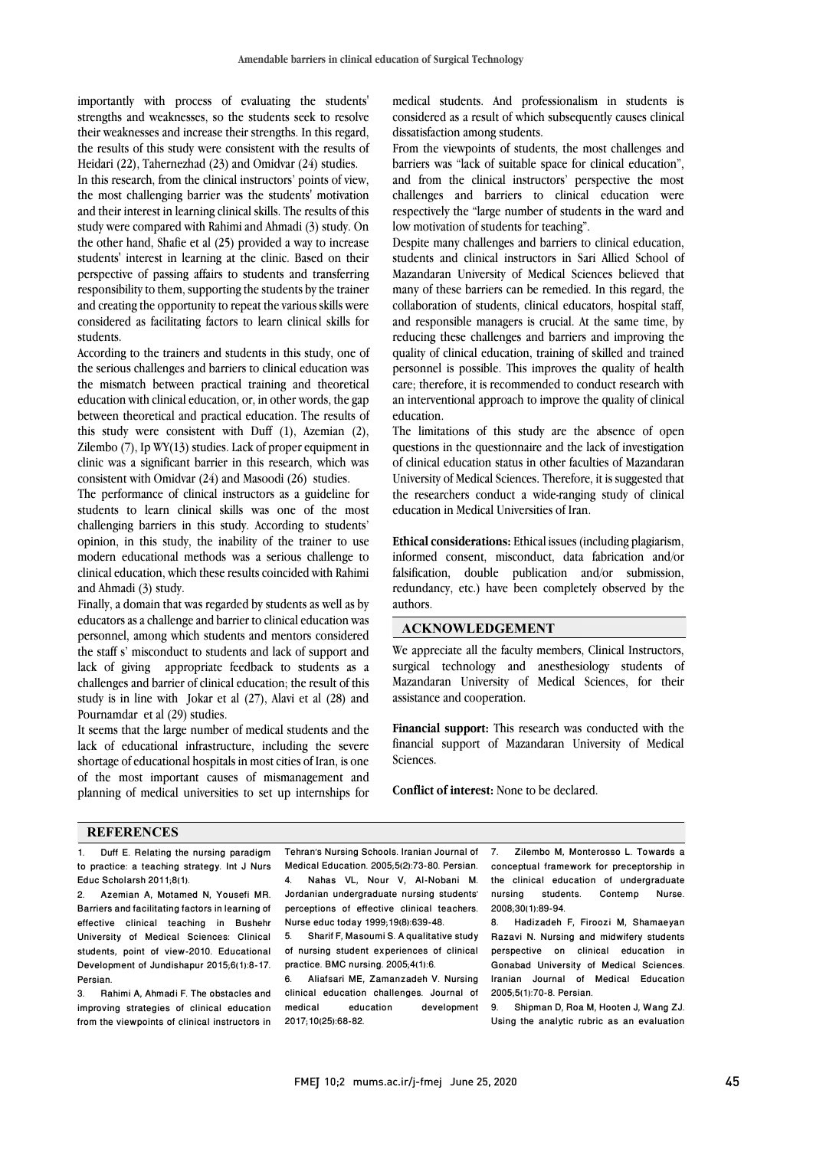importantly with process of evaluating the students' strengths and weaknesses, so the students seek to resolve their weaknesses and increase their strengths. In this regard, the results of this study were consistent with the results of Heidari (22), Tahernezhad (23) and Omidvar (24) studies.

In this research, from the clinical instructors' points of view, the most challenging barrier was the students' motivation and their interest in learning clinical skills. The results of this study were compared with Rahimi and Ahmadi (3) study. On the other hand, Shafie et al (25) provided a way to increase students' interest in learning at the clinic. Based on their perspective of passing affairs to students and transferring responsibility to them, supporting the students by the trainer and creating the opportunity to repeat the various skills were considered as facilitating factors to learn clinical skills for students.

According to the trainers and students in this study, one of the serious challenges and barriers to clinical education was the mismatch between practical training and theoretical education with clinical education, or, in other words, the gap between theoretical and practical education. The results of this study were consistent with Duff (1), Azemian (2), Zilembo (7), Ip WY(13) studies. Lack of proper equipment in clinic was a significant barrier in this research, which was consistent with Omidvar (24) and Masoodi (26) studies.

The performance of clinical instructors as a guideline for students to learn clinical skills was one of the most challenging barriers in this study. According to students' opinion, in this study, the inability of the trainer to use modern educational methods was a serious challenge to clinical education, which these results coincided with Rahimi and Ahmadi (3) study.

Finally, a domain that was regarded by students as well as by educators as a challenge and barrier to clinical education was personnel, among which students and mentors considered the staff s' misconduct to students and lack of support and lack of giving appropriate feedback to students as a challenges and barrier of clinical education; the result of this study is in line with Jokar et al (27), Alavi et al (28) and Pournamdar et al (29) studies.

It seems that the large number of medical students and the lack of educational infrastructure, including the severe shortage of educational hospitals in most cities of Iran, is one of the most important causes of mismanagement and planning of medical universities to set up internships for

medical students. And professionalism in students is considered as a result of which subsequently causes clinical dissatisfaction among students.

From the viewpoints of students, the most challenges and barriers was "lack of suitable space for clinical education", and from the clinical instructors' perspective the most challenges and barriers to clinical education were respectively the "large number of students in the ward and low motivation of students for teaching".

Despite many challenges and barriers to clinical education, students and clinical instructors in Sari Allied School of Mazandaran University of Medical Sciences believed that many of these barriers can be remedied. In this regard, the collaboration of students, clinical educators, hospital staff, and responsible managers is crucial. At the same time, by reducing these challenges and barriers and improving the quality of clinical education, training of skilled and trained personnel is possible. This improves the quality of health care; therefore, it is recommended to conduct research with an interventional approach to improve the quality of clinical education.

The limitations of this study are the absence of open questions in the questionnaire and the lack of investigation of clinical education status in other faculties of Mazandaran University of Medical Sciences. Therefore, it is suggested that the researchers conduct a wide-ranging study of clinical education in Medical Universities of Iran.

**Ethical considerations:** Ethical issues (including plagiarism, informed consent, misconduct, data fabrication and/or falsification, double publication and/or submission, redundancy, etc.) have been completely observed by the authors.

#### **ACKNOWLEDGEMENT**

We appreciate all the faculty members, Clinical Instructors, surgical technology and anesthesiology students of Mazandaran University of Medical Sciences, for their assistance and cooperation.

**Financial support:** This research was conducted with the financial support of Mazandaran University of Medical Sciences.

**Conflict of interest:** None to be declared.

### **REFERENCES**

1. Duff E. Relating the nursing paradigm to practice: a teaching strategy. Int J Nurs Educ Scholarsh 2011;8(1).

2. Azemian A, Motamed N, Yousefi MR. Barriers and facilitating factorsin learning of effective clinical teaching in Bushehr University of Medical Sciences: Clinical students, point of view-2010. Educational Development of Jundishapur 2015;6(1):8-17. Persian.

3. Rahimi A, Ahmadi F. The obstacles and improving strategies of clinical education from the viewpoints of clinical instructors in Tehran's Nursing Schools. Iranian Journal of Medical Education. 2005;5(2):73-80. Persian. 4. Nahas VL, Nour V, Al-Nobani M. Jordanian undergraduate nursing students' perceptions of effective clinical teachers. Nurse educ today 1999;19(8):639-48.

5. Sharif F, Masoumi S. A qualitative study of nursing student experiences of clinical practice. BMC nursing. 2005;4(1):6.

6. Aliafsari ME, Zamanzadeh V. Nursing clinical education challenges. Journal of development 2017;10(25):68-82.

7. Zilembo M, Monterosso L. Towards a conceptual framework for preceptorship in the clinical education of undergraduate nursing students. Contemp Nurse. 2008;30(1):89-94.

8. Hadizadeh F, Firoozi M, Shamaeyan Razavi N. Nursing and midwifery students perspective on clinical education in Gonabad University of Medical Sciences. Iranian Journal of Medical Education 2005;5(1):70-8. Persian.

9. Shipman D, Roa M, Hooten J, Wang ZJ. Using the analytic rubric as an evaluation